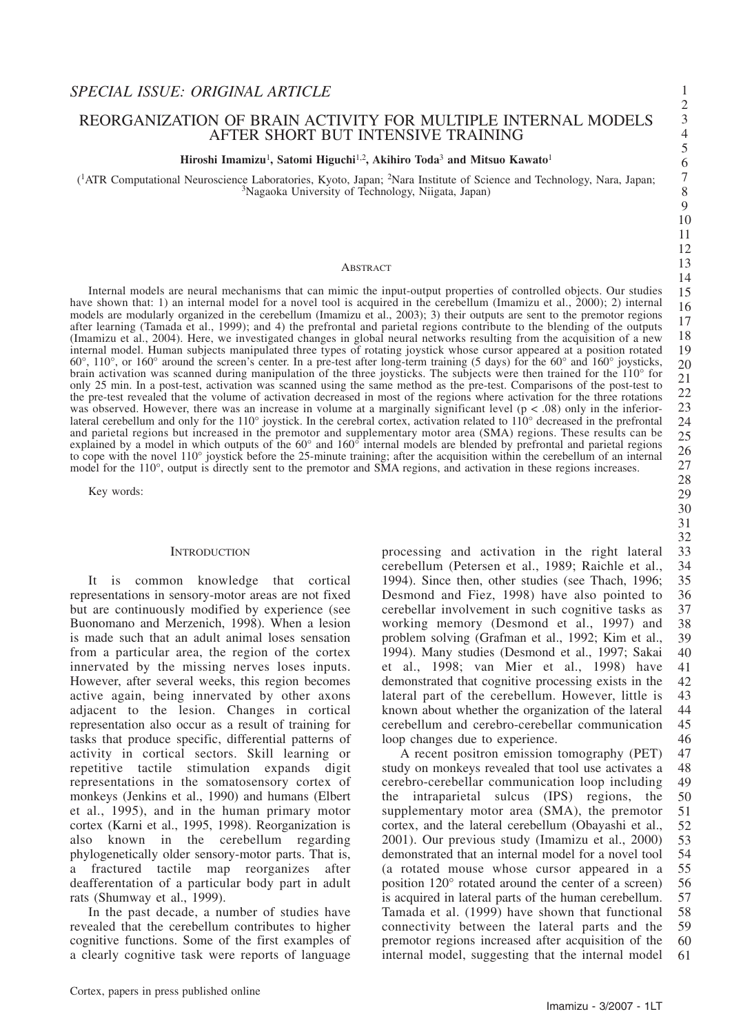32

34

38 39

44

46

1 2 3

## REORGANIZATION OF BRAIN ACTIVITY FOR MULTIPLE INTERNAL MODELS AFTER SHORT BUT INTENSIVE TRAINING

## **Hiroshi Imamizu**1**, Satomi Higuchi**1,2**, Akihiro Toda**<sup>3</sup> **and Mitsuo Kawato**<sup>1</sup>

(1ATR Computational Neuroscience Laboratories, Kyoto, Japan; 2Nara Institute of Science and Technology, Nara, Japan; 3Nagaoka University of Technology, Niigata, Japan)

#### **ABSTRACT**

Internal models are neural mechanisms that can mimic the input-output properties of controlled objects. Our studies have shown that: 1) an internal model for a novel tool is acquired in the cerebellum (Imamizu et al., 2000); 2) internal models are modularly organized in the cerebellum (Imamizu et al., 2003); 3) their outputs are sent to the premotor regions after learning (Tamada et al., 1999); and 4) the prefrontal and parietal regions contribute to the blending of the outputs (Imamizu et al., 2004). Here, we investigated changes in global neural networks resulting from the acquisition of a new internal model. Human subjects manipulated three types of rotating joystick whose cursor appeared at a position rotated 60°, 110°, or 160° around the screen's center. In a pre-test after long-term training (5 days) for the 60° and 160° joysticks, brain activation was scanned during manipulation of the three joysticks. The subjects were then trained for the 110° for only 25 min. In a post-test, activation was scanned using the same method as the pre-test. Comparisons of the post-test to the pre-test revealed that the volume of activation decreased in most of the regions where activation for the three rotations was observed. However, there was an increase in volume at a marginally significant level  $(p < .08)$  only in the inferiorlateral cerebellum and only for the 110° joystick. In the cerebral cortex, activation related to 110° decreased in the prefrontal and parietal regions but increased in the premotor and supplementary motor area (SMA) regions. These results can be explained by a model in which outputs of the 60° and 160° internal models are blended by prefrontal and parietal regions to cope with the novel 110° joystick before the 25-minute training; after the acquisition within the cerebellum of an internal model for the 110°, output is directly sent to the premotor and SMA regions, and activation in these regions increases.

Key words:

#### **INTRODUCTION**

It is common knowledge that cortical representations in sensory-motor areas are not fixed but are continuously modified by experience (see Buonomano and Merzenich, 1998). When a lesion is made such that an adult animal loses sensation from a particular area, the region of the cortex innervated by the missing nerves loses inputs. However, after several weeks, this region becomes active again, being innervated by other axons adjacent to the lesion. Changes in cortical representation also occur as a result of training for tasks that produce specific, differential patterns of activity in cortical sectors. Skill learning or repetitive tactile stimulation expands digit representations in the somatosensory cortex of monkeys (Jenkins et al., 1990) and humans (Elbert et al., 1995), and in the human primary motor cortex (Karni et al., 1995, 1998). Reorganization is also known in the cerebellum regarding phylogenetically older sensory-motor parts. That is, a fractured tactile map reorganizes after deafferentation of a particular body part in adult rats (Shumway et al., 1999).

In the past decade, a number of studies have revealed that the cerebellum contributes to higher cognitive functions. Some of the first examples of a clearly cognitive task were reports of language processing and activation in the right lateral cerebellum (Petersen et al., 1989; Raichle et al., 1994). Since then, other studies (see Thach, 1996; Desmond and Fiez, 1998) have also pointed to cerebellar involvement in such cognitive tasks as working memory (Desmond et al., 1997) and problem solving (Grafman et al., 1992; Kim et al., 1994). Many studies (Desmond et al., 1997; Sakai et al., 1998; van Mier et al., 1998) have demonstrated that cognitive processing exists in the lateral part of the cerebellum. However, little is known about whether the organization of the lateral cerebellum and cerebro-cerebellar communication loop changes due to experience. 33 35 36 37 40 41 42 43 45

A recent positron emission tomography (PET) study on monkeys revealed that tool use activates a cerebro-cerebellar communication loop including the intraparietal sulcus (IPS) regions, the supplementary motor area (SMA), the premotor cortex, and the lateral cerebellum (Obayashi et al., 2001). Our previous study (Imamizu et al., 2000) demonstrated that an internal model for a novel tool (a rotated mouse whose cursor appeared in a position 120° rotated around the center of a screen) is acquired in lateral parts of the human cerebellum. Tamada et al. (1999) have shown that functional connectivity between the lateral parts and the premotor regions increased after acquisition of the internal model, suggesting that the internal model 47 48 49 50 51 52 53 54 55 56 57 58 59 60 61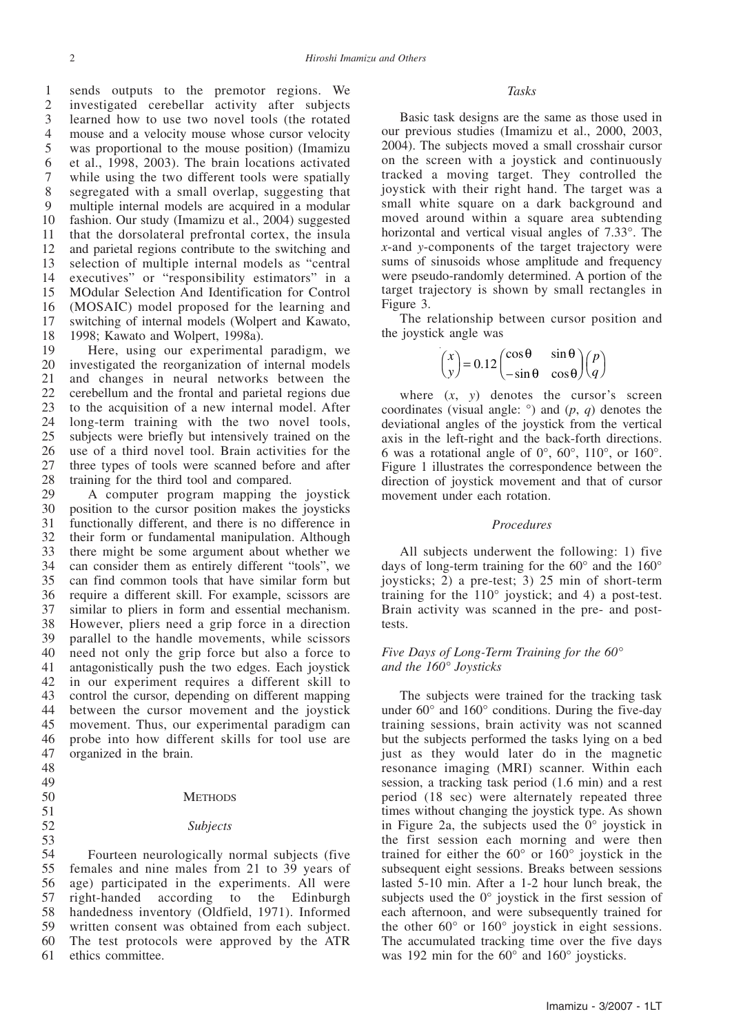sends outputs to the premotor regions. We investigated cerebellar activity after subjects learned how to use two novel tools (the rotated mouse and a velocity mouse whose cursor velocity was proportional to the mouse position) (Imamizu et al., 1998, 2003). The brain locations activated while using the two different tools were spatially segregated with a small overlap, suggesting that multiple internal models are acquired in a modular fashion. Our study (Imamizu et al., 2004) suggested that the dorsolateral prefrontal cortex, the insula and parietal regions contribute to the switching and selection of multiple internal models as "central executives" or "responsibility estimators" in a MOdular Selection And Identification for Control (MOSAIC) model proposed for the learning and switching of internal models (Wolpert and Kawato, 1998; Kawato and Wolpert, 1998a). 1 2 3 4 5 6 7 8 9 10 11 12 13 14 15 16 17 18

Here, using our experimental paradigm, we investigated the reorganization of internal models and changes in neural networks between the cerebellum and the frontal and parietal regions due to the acquisition of a new internal model. After long-term training with the two novel tools, subjects were briefly but intensively trained on the use of a third novel tool. Brain activities for the three types of tools were scanned before and after training for the third tool and compared. 19 20 21 22 23 24 25 26 27 28

A computer program mapping the joystick position to the cursor position makes the joysticks functionally different, and there is no difference in their form or fundamental manipulation. Although there might be some argument about whether we can consider them as entirely different "tools", we can find common tools that have similar form but require a different skill. For example, scissors are similar to pliers in form and essential mechanism. However, pliers need a grip force in a direction parallel to the handle movements, while scissors need not only the grip force but also a force to antagonistically push the two edges. Each joystick in our experiment requires a different skill to control the cursor, depending on different mapping between the cursor movement and the joystick movement. Thus, our experimental paradigm can probe into how different skills for tool use are organized in the brain. 29 30 31 32 33 34 35 36 37 38 39 40 41 42 43 44 45 46 47

- 48
- 49 50

51 52 53

# **METHODS**

#### *Subjects*

Fourteen neurologically normal subjects (five females and nine males from 21 to 39 years of age) participated in the experiments. All were right-handed according to the Edinburgh handedness inventory (Oldfield, 1971). Informed written consent was obtained from each subject. The test protocols were approved by the ATR ethics committee. 54 55 56 57 58 59 60 61

#### *Tasks*

Basic task designs are the same as those used in our previous studies (Imamizu et al., 2000, 2003, 2004). The subjects moved a small crosshair cursor on the screen with a joystick and continuously tracked a moving target. They controlled the joystick with their right hand. The target was a small white square on a dark background and moved around within a square area subtending horizontal and vertical visual angles of 7.33°. The *x*-and *y*-components of the target trajectory were sums of sinusoids whose amplitude and frequency were pseudo-randomly determined. A portion of the target trajectory is shown by small rectangles in Figure 3.

The relationship between cursor position and the joystick angle was

$$
\begin{pmatrix} x \\ y \end{pmatrix} = 0.12 \begin{pmatrix} \cos \theta & \sin \theta \\ -\sin \theta & \cos \theta \end{pmatrix} \begin{pmatrix} p \\ q \end{pmatrix}
$$

where  $(x, y)$  denotes the cursor's screen coordinates (visual angle: °) and (*p*, *q*) denotes the deviational angles of the joystick from the vertical axis in the left-right and the back-forth directions. 6 was a rotational angle of  $0^\circ$ ,  $60^\circ$ ,  $110^\circ$ , or  $160^\circ$ . Figure 1 illustrates the correspondence between the direction of joystick movement and that of cursor movement under each rotation.

#### *Procedures*

All subjects underwent the following: 1) five days of long-term training for the 60° and the 160° joysticks; 2) a pre-test; 3) 25 min of short-term training for the 110° joystick; and 4) a post-test. Brain activity was scanned in the pre- and posttests.

#### *Five Days of Long-Term Training for the 60° and the 160° Joysticks*

The subjects were trained for the tracking task under 60° and 160° conditions. During the five-day training sessions, brain activity was not scanned but the subjects performed the tasks lying on a bed just as they would later do in the magnetic resonance imaging (MRI) scanner. Within each session, a tracking task period (1.6 min) and a rest period (18 sec) were alternately repeated three times without changing the joystick type. As shown in Figure 2a, the subjects used the 0° joystick in the first session each morning and were then trained for either the 60° or 160° joystick in the subsequent eight sessions. Breaks between sessions lasted 5-10 min. After a 1-2 hour lunch break, the subjects used the 0° joystick in the first session of each afternoon, and were subsequently trained for the other 60° or 160° joystick in eight sessions. The accumulated tracking time over the five days was 192 min for the 60° and 160° joysticks.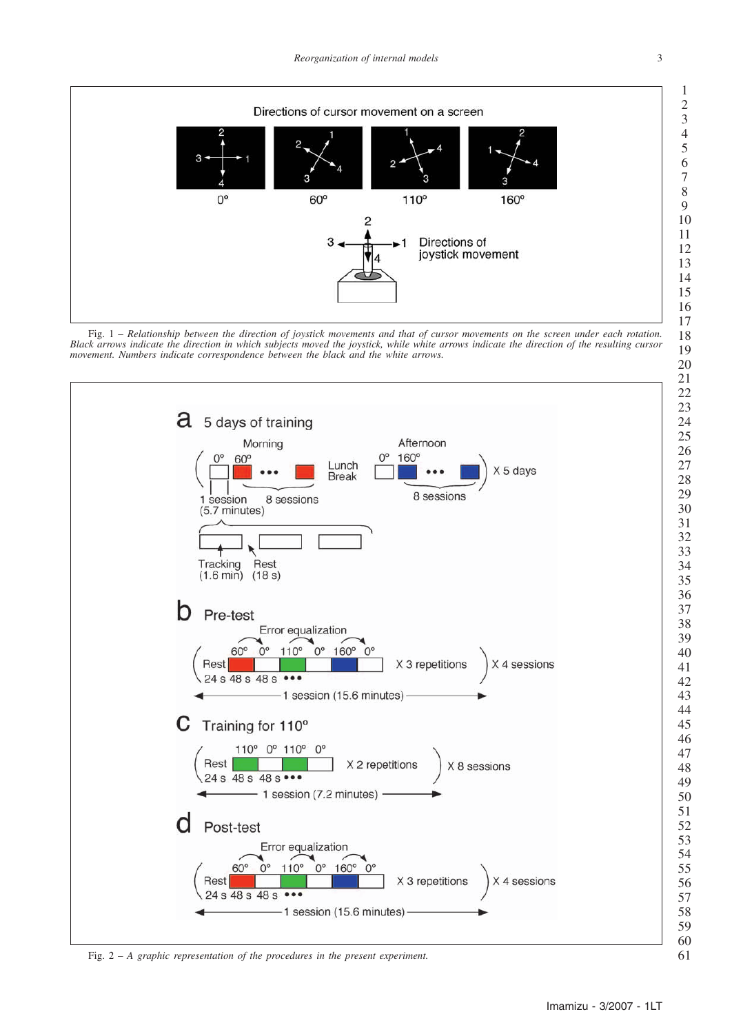





Fig. 2 – *A graphic representation of the procedures in the present experiment.*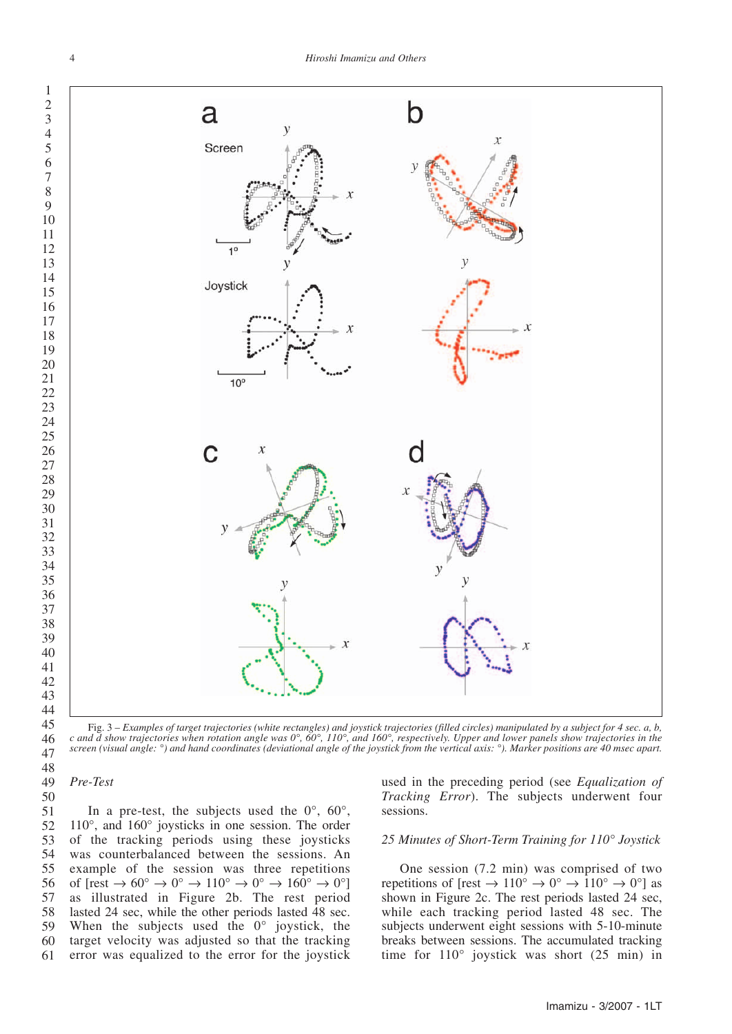

Fig. 3 – *Examples of target trajectories (white rectangles) and joystick trajectories (filled circles) manipulated by a subject for 4 sec. a, b, c and d show trajectories when rotation angle was 0°, 60°, 110°, and 160°, respectively. Upper and lower panels show trajectories in the screen (visual angle: °) and hand coordinates (deviational angle of the joystick from the vertical axis: °). Marker positions are 40 msec apart.*

*Pre-Test* 

 

In a pre-test, the subjects used the  $0^{\circ}$ ,  $60^{\circ}$ , 110°, and 160° joysticks in one session. The order of the tracking periods using these joysticks was counterbalanced between the sessions. An example of the session was three repetitions of  $[rest \rightarrow 60^{\circ} \rightarrow 0^{\circ} \rightarrow 110^{\circ} \rightarrow 0^{\circ} \rightarrow 160^{\circ} \rightarrow 0^{\circ}]$ as illustrated in Figure 2b. The rest period lasted 24 sec, while the other periods lasted 48 sec. When the subjects used the 0° joystick, the target velocity was adjusted so that the tracking error was equalized to the error for the joystick 

used in the preceding period (see *Equalization of Tracking Error*). The subjects underwent four sessions.

#### *25 Minutes of Short-Term Training for 110° Joystick*

One session (7.2 min) was comprised of two repetitions of  $[rest \rightarrow 110^{\circ} \rightarrow 0^{\circ} \rightarrow 110^{\circ} \rightarrow 0^{\circ}]$  as shown in Figure 2c. The rest periods lasted 24 sec, while each tracking period lasted 48 sec. The subjects underwent eight sessions with 5-10-minute breaks between sessions. The accumulated tracking time for 110° joystick was short (25 min) in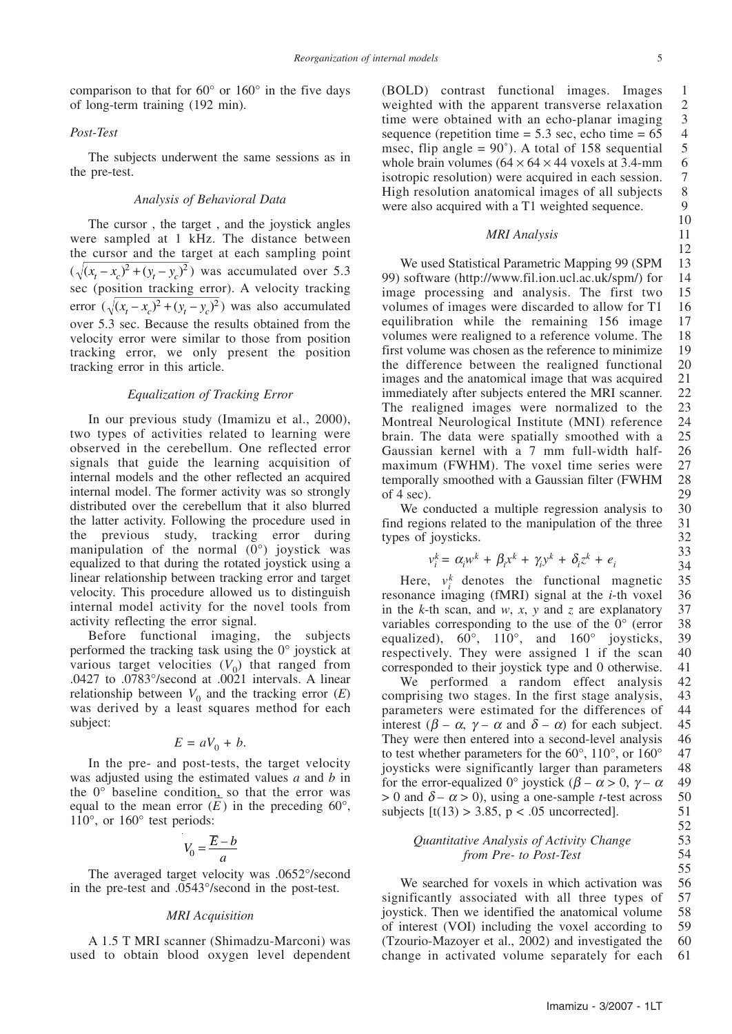comparison to that for 60° or 160° in the five days of long-term training (192 min).

#### *Post-Test*

The subjects underwent the same sessions as in the pre-test.

#### *Analysis of Behavioral Data*

The cursor , the target , and the joystick angles were sampled at 1 kHz. The distance between the cursor and the target at each sampling point  $(\sqrt{(x_t - x_c)^2 + (y_t - y_c)^2})$  was accumulated over 5.3 sec (position tracking error). A velocity tracking error  $(\sqrt{(x_t - x_c)^2 + (y_t - y_c)^2})$  was also accumulated over 5.3 sec. Because the results obtained from the velocity error were similar to those from position tracking error, we only present the position tracking error in this article.

#### *Equalization of Tracking Error*

In our previous study (Imamizu et al., 2000), two types of activities related to learning were observed in the cerebellum. One reflected error signals that guide the learning acquisition of internal models and the other reflected an acquired internal model. The former activity was so strongly distributed over the cerebellum that it also blurred the latter activity. Following the procedure used in the previous study, tracking error during manipulation of the normal (0°) joystick was equalized to that during the rotated joystick using a linear relationship between tracking error and target velocity. This procedure allowed us to distinguish internal model activity for the novel tools from activity reflecting the error signal.

Before functional imaging, the subjects performed the tracking task using the 0° joystick at various target velocities  $(V_0)$  that ranged from .0427 to .0783°/second at .0021 intervals. A linear relationship between  $V_0$  and the tracking error  $(E)$ was derived by a least squares method for each subject:

$$
E = aV_0 + b.
$$

In the pre- and post-tests, the target velocity was adjusted using the estimated values *a* and *b* in the 0° baseline condition, so that the error was equal to the mean error  $(E)$  in the preceding 60 $^{\circ}$ , 110°, or 160° test periods:

$$
V_0 = \frac{\overline{E} - b}{a}
$$

The averaged target velocity was .0652°/second in the pre-test and .0543°/second in the post-test.

#### *MRI Acquisition*

A 1.5 T MRI scanner (Shimadzu-Marconi) was used to obtain blood oxygen level dependent (BOLD) contrast functional images. Images weighted with the apparent transverse relaxation time were obtained with an echo-planar imaging sequence (repetition time  $= 5.3$  sec, echo time  $= 65$ msec, flip angle  $= 90^{\circ}$ ). A total of 158 sequential whole brain volumes  $(64 \times 64 \times 44$  voxels at 3.4-mm isotropic resolution) were acquired in each session. High resolution anatomical images of all subjects were also acquired with a T1 weighted sequence. 1 2 3 4 5 6 7 8 9

#### *MRI Analysis*

10 11 12

We used Statistical Parametric Mapping 99 (SPM 99) software (http://www.fil.ion.ucl.ac.uk/spm/) for image processing and analysis. The first two volumes of images were discarded to allow for T1 equilibration while the remaining 156 image volumes were realigned to a reference volume. The first volume was chosen as the reference to minimize the difference between the realigned functional images and the anatomical image that was acquired immediately after subjects entered the MRI scanner. The realigned images were normalized to the Montreal Neurological Institute (MNI) reference brain. The data were spatially smoothed with a Gaussian kernel with a 7 mm full-width halfmaximum (FWHM). The voxel time series were temporally smoothed with a Gaussian filter (FWHM of 4 sec). 13 14 15 16 17 18 19 20 21 22 23 24 25 26 27 28 29

We conducted a multiple regression analysis to find regions related to the manipulation of the three types of joysticks.

$$
k_i = \alpha_i w^k + \beta_i x^k + \gamma_i y^k + \delta_i z^k + e_i
$$

 $v$ 

Here,  $v_i^k$  denotes the functional magnetic resonance imaging (fMRI) signal at the *i*-th voxel in the *k*-th scan, and *w*, *x*, *y* and *z* are explanatory variables corresponding to the use of the 0° (error equalized),  $60^\circ$ ,  $110^\circ$ , and  $160^\circ$  joysticks, respectively. They were assigned 1 if the scan corresponded to their joystick type and 0 otherwise. 35 36 37 38 39 40 41

We performed a random effect analysis comprising two stages. In the first stage analysis, parameters were estimated for the differences of interest ( $\beta - \alpha$ ,  $\gamma - \alpha$  and  $\delta - \alpha$ ) for each subject. They were then entered into a second-level analysis to test whether parameters for the 60°, 110°, or 160° joysticks were significantly larger than parameters for the error-equalized 0° joystick ( $\beta - \alpha > 0$ ,  $\gamma - \alpha$  $> 0$  and  $\delta - \alpha > 0$ ), using a one-sample *t*-test across subjects  $[t(13) > 3.85, p < .05$  uncorrected]. 42 43 44 45 46 47 48 49 50 51

#### *Quantitative Analysis of Activity Change from Pre- to Post-Test*

We searched for voxels in which activation was significantly associated with all three types of joystick. Then we identified the anatomical volume of interest (VOI) including the voxel according to (Tzourio-Mazoyer et al., 2002) and investigated the change in activated volume separately for each 56 57 58 59 60 61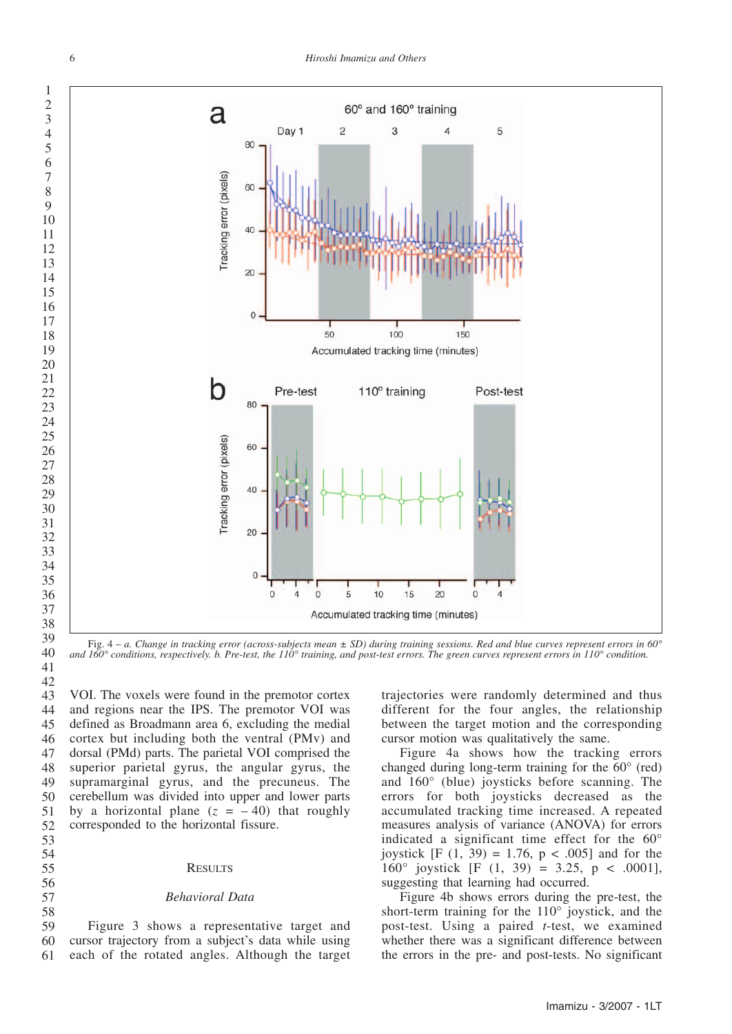

Fig. 4 – *a. Change in tracking error (across-subjects mean ± SD) during training sessions. Red and blue curves represent errors in 60° and 160° conditions, respectively. b. Pre-test, the 110° training, and post-test errors. The green curves represent errors in 110° condition.*

VOI. The voxels were found in the premotor cortex and regions near the IPS. The premotor VOI was defined as Broadmann area 6, excluding the medial cortex but including both the ventral (PMv) and dorsal (PMd) parts. The parietal VOI comprised the superior parietal gyrus, the angular gyrus, the supramarginal gyrus, and the precuneus. The cerebellum was divided into upper and lower parts by a horizontal plane  $(z = -40)$  that roughly corresponded to the horizontal fissure. 

#### **RESULTS**

#### *Behavioral Data*

Figure 3 shows a representative target and cursor trajectory from a subject's data while using each of the rotated angles. Although the target 

trajectories were randomly determined and thus different for the four angles, the relationship between the target motion and the corresponding cursor motion was qualitatively the same.

Figure 4a shows how the tracking errors changed during long-term training for the 60° (red) and 160° (blue) joysticks before scanning. The errors for both joysticks decreased as the accumulated tracking time increased. A repeated measures analysis of variance (ANOVA) for errors indicated a significant time effect for the 60° joystick [F  $(1, 39) = 1.76$ ,  $p < .005$ ] and for the 160° joystick [F  $(1, 39) = 3.25$ , p < .0001], suggesting that learning had occurred.

Figure 4b shows errors during the pre-test, the short-term training for the 110° joystick, and the post-test. Using a paired *t*-test, we examined whether there was a significant difference between the errors in the pre- and post-tests. No significant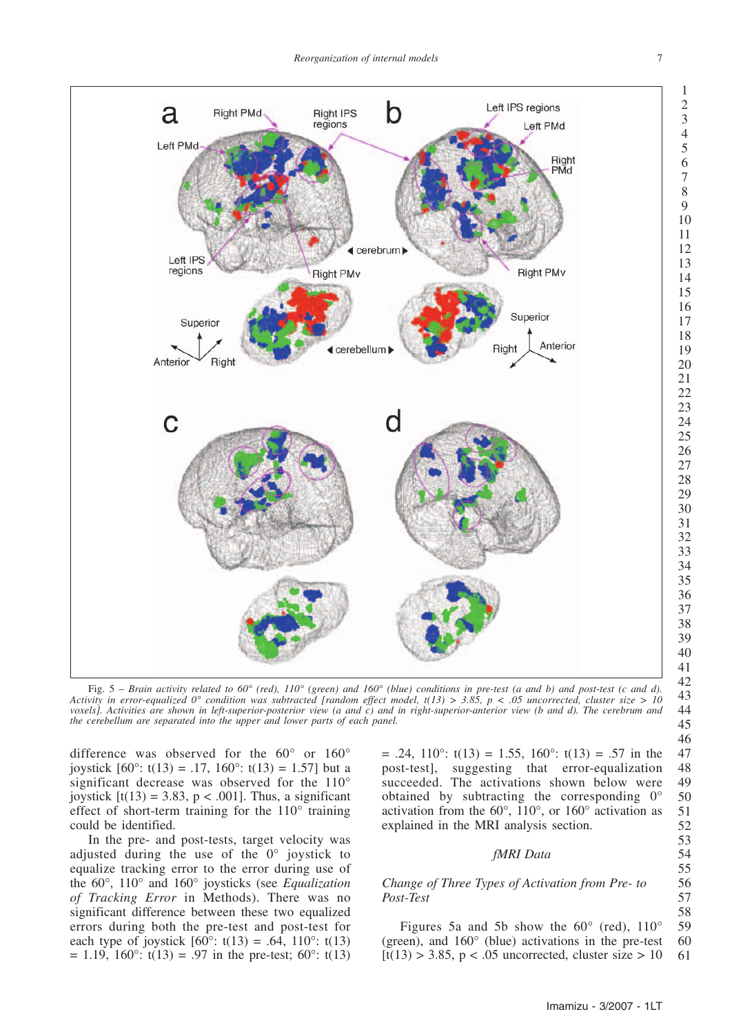

Fig. 5 – *Brain activity related to 60° (red), 110° (green) and 160° (blue) conditions in pre-test (a and b) and post-test (c and d). Activity in error-equalized 0° condition was subtracted [random effect model, t(13) > 3.85, p < .05 uncorrected, cluster size > 10 voxels]. Activities are shown in left-superior-posterior view (a and c) and in right-superior-anterior view (b and d). The cerebrum and the cerebellum are separated into the upper and lower parts of each panel.*

difference was observed for the 60° or 160° joystick  $[60^{\circ}: t(13) = .17, 160^{\circ}: t(13) = 1.57]$  but a significant decrease was observed for the 110° joystick  $[t(13) = 3.83, p < .001]$ . Thus, a significant effect of short-term training for the 110° training could be identified.

In the pre- and post-tests, target velocity was adjusted during the use of the 0° joystick to equalize tracking error to the error during use of the 60°, 110° and 160° joysticks (see *Equalization of Tracking Error* in Methods). There was no significant difference between these two equalized errors during both the pre-test and post-test for each type of joystick  $[60^{\circ}: t(13) = .64, 110^{\circ}: t(13)$  $= 1.19, 160^{\circ}$ : t(13) = .97 in the pre-test; 60°: t(13)  $= .24, 110^{\circ}$ : t(13)  $= 1.55, 160^{\circ}$ : t(13)  $= .57$  in the post-test], suggesting that error-equalization succeeded. The activations shown below were obtained by subtracting the corresponding 0° activation from the 60°, 110°, or 160° activation as explained in the MRI analysis section.

#### *fMRI Data*

#### *Change of Three Types of Activation from Pre- to Post-Test*

Figures 5a and 5b show the  $60^{\circ}$  (red),  $110^{\circ}$ (green), and 160° (blue) activations in the pre-test  $[t(13) > 3.85, p < .05$  uncorrected, cluster size  $> 10$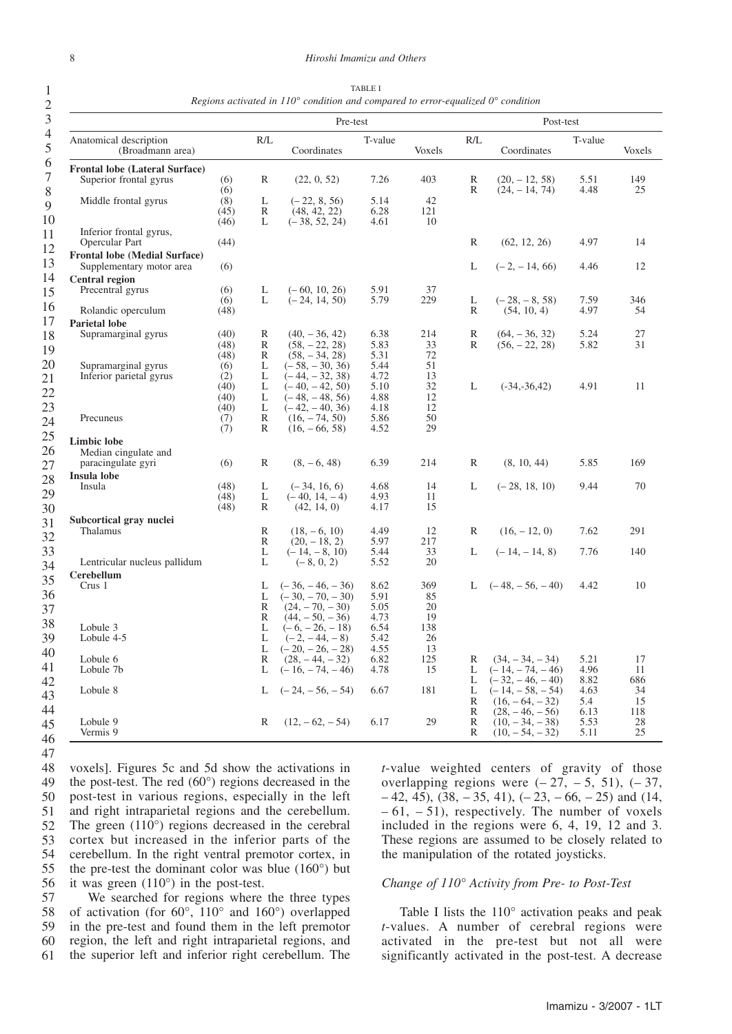1

| $\overline{c}$ |                         |
|----------------|-------------------------|
| 3              |                         |
| $\overline{4}$ | ſ.                      |
| 5              |                         |
| $\frac{6}{7}$  | $\mathbf{F}_{1}$        |
| 8              |                         |
| 9              |                         |
| 10             |                         |
| $\frac{1}{1}$  |                         |
| 12             | $\mathbf{F}_{\text{I}}$ |
| 13             |                         |
| $\frac{14}{1}$ |                         |
| 15<br>16       |                         |
| 17             |                         |
| 18             | P:                      |
| <sup>19</sup>  |                         |
| 20             |                         |
| $\frac{21}{2}$ |                         |
| 22             |                         |
| 23             |                         |
| 24<br>25       |                         |
| 26             | Li                      |
| 27             |                         |
| 28             | In                      |
|                |                         |
| 29<br>30       |                         |
| $\frac{1}{31}$ | 51                      |
| 32             |                         |
| 33             |                         |
| 34<br>35       |                         |
|                |                         |
| 36<br>37       |                         |
| 38             |                         |
|                |                         |
| 39<br>40       |                         |
| 41             |                         |
| 42             |                         |
| 43             |                         |

TABLE I *Regions activated in 110° condition and compared to error-equalized 0° condition*

| $\mathfrak{I}$                   |                                                                  |              | Pre-test          |                                       |              |           | Post-test         |                                       |              |           |
|----------------------------------|------------------------------------------------------------------|--------------|-------------------|---------------------------------------|--------------|-----------|-------------------|---------------------------------------|--------------|-----------|
| $\overline{4}$<br>$\overline{5}$ | Anatomical description<br>(Broadmann area)                       |              | R/L               | Coordinates                           | T-value      | Voxels    | R/L               | Coordinates                           | T-value      | Voxels    |
| 6                                | <b>Frontal lobe (Lateral Surface)</b>                            |              |                   |                                       |              |           |                   |                                       |              |           |
| $\tau$<br>$\, 8$                 | Superior frontal gyrus                                           | (6)<br>(6)   | R                 | (22, 0, 52)                           | 7.26         | 403       | R<br>R            | $(20, -12, 58)$<br>$(24, -14, 74)$    | 5.51<br>4.48 | 149<br>25 |
| 9                                | Middle frontal gyrus                                             | (8)          | L                 | $(-22, 8, 56)$                        | 5.14         | 42        |                   |                                       |              |           |
|                                  |                                                                  | (45)         | R                 | (48, 42, 22)                          | 6.28         | 121       |                   |                                       |              |           |
| 10                               |                                                                  | (46)         | L                 | $(-38, 52, 24)$                       | 4.61         | 10        |                   |                                       |              |           |
| 11                               | Inferior frontal gyrus,                                          |              |                   |                                       |              |           |                   |                                       |              |           |
| 12                               | Opercular Part                                                   | (44)         |                   |                                       |              |           | $\mathbb{R}$      | (62, 12, 26)                          | 4.97         | 14        |
| 13                               | <b>Frontal lobe (Medial Surface)</b><br>Supplementary motor area | (6)          |                   |                                       |              |           | L                 | $(-2, -14, 66)$                       | 4.46         | 12        |
| 14                               | <b>Central region</b>                                            |              |                   |                                       |              |           |                   |                                       |              |           |
| 15                               | Precentral gyrus                                                 | (6)          | L                 | $(-60, 10, 26)$                       | 5.91         | 37        |                   |                                       |              |           |
| 16                               |                                                                  | (6)          | L                 | $(-24, 14, 50)$                       | 5.79         | 229       | L                 | $(-28, -8, 58)$                       | 7.59         | 346       |
|                                  | Rolandic operculum                                               | (48)         |                   |                                       |              |           | R                 | (54, 10, 4)                           | 4.97         | 54        |
| 17                               | <b>Parietal lobe</b>                                             |              |                   |                                       |              |           |                   |                                       |              |           |
| 18                               | Supramarginal gyrus                                              | (40)<br>(48) | R<br>R            | $(40, -36, 42)$<br>$(58, -22, 28)$    | 6.38<br>5.83 | 214<br>33 | $\mathbb{R}$<br>R | $(64, -36, 32)$<br>$(56, -22, 28)$    | 5.24<br>5.82 | 27<br>31  |
| 19                               |                                                                  | (48)         | $\mathbb{R}$      | $(58, -34, 28)$                       | 5.31         | 72        |                   |                                       |              |           |
| 20                               | Supramarginal gyrus                                              | (6)          | L                 | $(-58, -30, 36)$                      | 5.44         | 51        |                   |                                       |              |           |
| 21                               | Inferior parietal gyrus                                          | (2)          | L                 | $(-44, -32, 38)$                      | 4.72         | 13        |                   |                                       |              |           |
| 22                               |                                                                  | (40)         | L                 | $(-40, -42, 50)$                      | 5.10         | 32        | L                 | $(-34,-36,42)$                        | 4.91         | 11        |
|                                  |                                                                  | (40)         | L                 | $(-48, -48, 56)$                      | 4.88         | 12        |                   |                                       |              |           |
| 23                               |                                                                  | (40)         | L                 | $(-42, -40, 36)$                      | 4.18         | 12        |                   |                                       |              |           |
| 24                               | Precuneus                                                        | (7)<br>(7)   | $\mathbb{R}$<br>R | $(16, -74, 50)$<br>$(16, -66, 58)$    | 5.86<br>4.52 | 50<br>29  |                   |                                       |              |           |
| 25                               |                                                                  |              |                   |                                       |              |           |                   |                                       |              |           |
| 26                               | <b>Limbic lobe</b><br>Median cingulate and                       |              |                   |                                       |              |           |                   |                                       |              |           |
|                                  | paracingulate gyri                                               | (6)          | R                 | $(8, -6, 48)$                         | 6.39         | 214       | $\mathbb{R}$      | (8, 10, 44)                           | 5.85         | 169       |
| 27                               | Insula lobe                                                      |              |                   |                                       |              |           |                   |                                       |              |           |
| 28                               | Insula                                                           | (48)         | L                 | $(-34, 16, 6)$                        | 4.68         | 14        | L                 | $(-28, 18, 10)$                       | 9.44         | 70        |
| 29                               |                                                                  | (48)         | L                 | $(-40, 14, -4)$                       | 4.93         | 11        |                   |                                       |              |           |
| 30                               |                                                                  | (48)         | R                 | (42, 14, 0)                           | 4.17         | 15        |                   |                                       |              |           |
| 31                               | Subcortical gray nuclei                                          |              |                   |                                       |              |           |                   |                                       |              |           |
| 32                               | Thalamus                                                         |              | R                 | $(18, -6, 10)$                        | 4.49         | 12        | R                 | $(16, -12, 0)$                        | 7.62         | 291       |
|                                  |                                                                  |              | R                 | $(20, -18, 2)$                        | 5.97         | 217       |                   |                                       |              |           |
| 33                               | Lentricular nucleus pallidum                                     |              | L<br>L            | $(-14, -8, 10)$                       | 5.44<br>5.52 | 33<br>20  | L                 | $(-14, -14, 8)$                       | 7.76         | 140       |
| 34                               |                                                                  |              |                   | $(-8, 0, 2)$                          |              |           |                   |                                       |              |           |
| 35                               | <b>Cerebellum</b><br>Crus 1                                      |              | L                 | $(-36, -46, -36)$                     | 8.62         | 369       | L                 | $(-48, -56, -40)$                     | 4.42         | 10        |
| 36                               |                                                                  |              | L                 | $(-30, -70, -30)$                     | 5.91         | 85        |                   |                                       |              |           |
| 37                               |                                                                  |              | R                 | $(24, -70, -30)$                      | 5.05         | 20        |                   |                                       |              |           |
|                                  |                                                                  |              | R                 | $(44, -50, -36)$                      | 4.73         | 19        |                   |                                       |              |           |
| 38                               | Lobule 3                                                         |              | L                 | $(-6, -26, -18)$                      | 6.54         | 138       |                   |                                       |              |           |
| 39                               | Lobule 4-5                                                       |              | L                 | $(-2, -44, -8)$                       | 5.42         | 26        |                   |                                       |              |           |
| 40                               |                                                                  |              | L                 | $(-20, -26, -28)$                     | 4.55         | 13        |                   |                                       |              |           |
| 41                               | Lobule 6<br>Lobule 7b                                            |              | R<br>L            | $(28, -44, -32)$<br>$(-16, -74, -46)$ | 6.82<br>4.78 | 125<br>15 | R<br>L            | $(34, -34, -34)$<br>$(-14, -74, -46)$ | 5.21<br>4.96 | 17<br>11  |
| 42                               |                                                                  |              |                   |                                       |              |           | L                 | $(-32, -46, -40)$                     | 8.82         | 686       |
|                                  | Lobule 8                                                         |              | L                 | $(-24, -56, -54)$                     | 6.67         | 181       | L                 | $(-14, -58, -54)$                     | 4.63         | 34        |
| 43                               |                                                                  |              |                   |                                       |              |           | R                 | $(16, -64, -32)$                      | 5.4          | 15        |
| 44                               |                                                                  |              |                   |                                       |              |           | R                 | $(28, -46, -56)$                      | 6.13         | 118       |
| 45                               | Lobule 9                                                         |              | R                 | $(12, -62, -54)$                      | 6.17         | 29        | R                 | $(10, -34, -38)$                      | 5.53         | 28        |
| $\overline{16}$                  | Vermis 9                                                         |              |                   |                                       |              |           | R                 | $(10, -54, -32)$                      | 5.11         | 25        |

46

voxels]. Figures 5c and 5d show the activations in the post-test. The red (60°) regions decreased in the post-test in various regions, especially in the left and right intraparietal regions and the cerebellum. The green (110°) regions decreased in the cerebral cortex but increased in the inferior parts of the cerebellum. In the right ventral premotor cortex, in the pre-test the dominant color was blue (160°) but it was green (110°) in the post-test. 47 48 49 50 51 52 53 54 55 56

We searched for regions where the three types of activation (for 60°, 110° and 160°) overlapped in the pre-test and found them in the left premotor region, the left and right intraparietal regions, and the superior left and inferior right cerebellum. The 57 58 59 60 61

*t*-value weighted centers of gravity of those overlapping regions were  $(-27, -5, 51)$ ,  $(-37, -5)$  $-42, 45$ ),  $(38, -35, 41)$ ,  $(-23, -66, -25)$  and  $(14, -74)$  $-61, -51$ , respectively. The number of voxels included in the regions were 6, 4, 19, 12 and 3. These regions are assumed to be closely related to the manipulation of the rotated joysticks.

#### *Change of 110° Activity from Pre- to Post-Test*

Table I lists the 110° activation peaks and peak *t*-values. A number of cerebral regions were activated in the pre-test but not all were significantly activated in the post-test. A decrease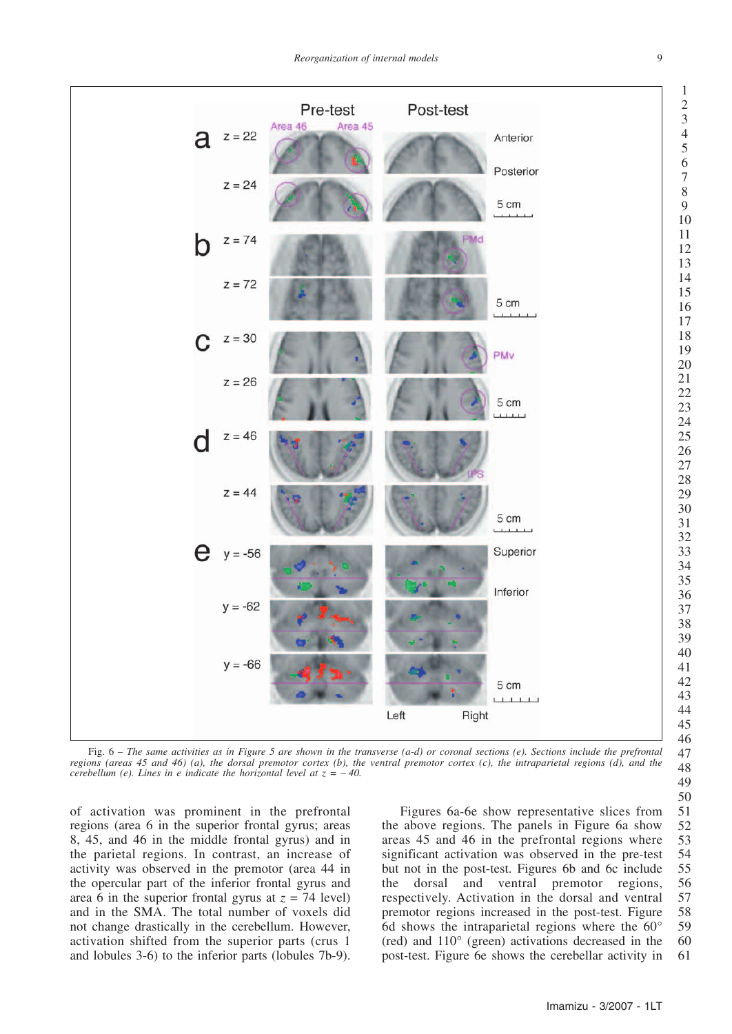

Fig. 6 – *The same activities as in Figure 5 are shown in the transverse (a-d) or coronal sections (e). Sections include the prefrontal regions (areas 45 and 46) (a), the dorsal premotor cortex (b), the ventral premotor cortex (c), the intraparietal regions (d), and the cerebellum (e). Lines in e indicate the horizontal level at z = – 40.*

of activation was prominent in the prefrontal regions (area 6 in the superior frontal gyrus; areas 8, 45, and 46 in the middle frontal gyrus) and in the parietal regions. In contrast, an increase of activity was observed in the premotor (area 44 in the opercular part of the inferior frontal gyrus and area 6 in the superior frontal gyrus at  $z = 74$  level) and in the SMA. The total number of voxels did not change drastically in the cerebellum. However, activation shifted from the superior parts (crus 1 and lobules 3-6) to the inferior parts (lobules 7b-9).

Figures 6a-6e show representative slices from the above regions. The panels in Figure 6a show areas 45 and 46 in the prefrontal regions where significant activation was observed in the pre-test but not in the post-test. Figures 6b and 6c include the dorsal and ventral premotor regions, respectively. Activation in the dorsal and ventral premotor regions increased in the post-test. Figure 6d shows the intraparietal regions where the  $60^{\circ}$ (red) and 110° (green) activations decreased in the post-test. Figure 6e shows the cerebellar activity in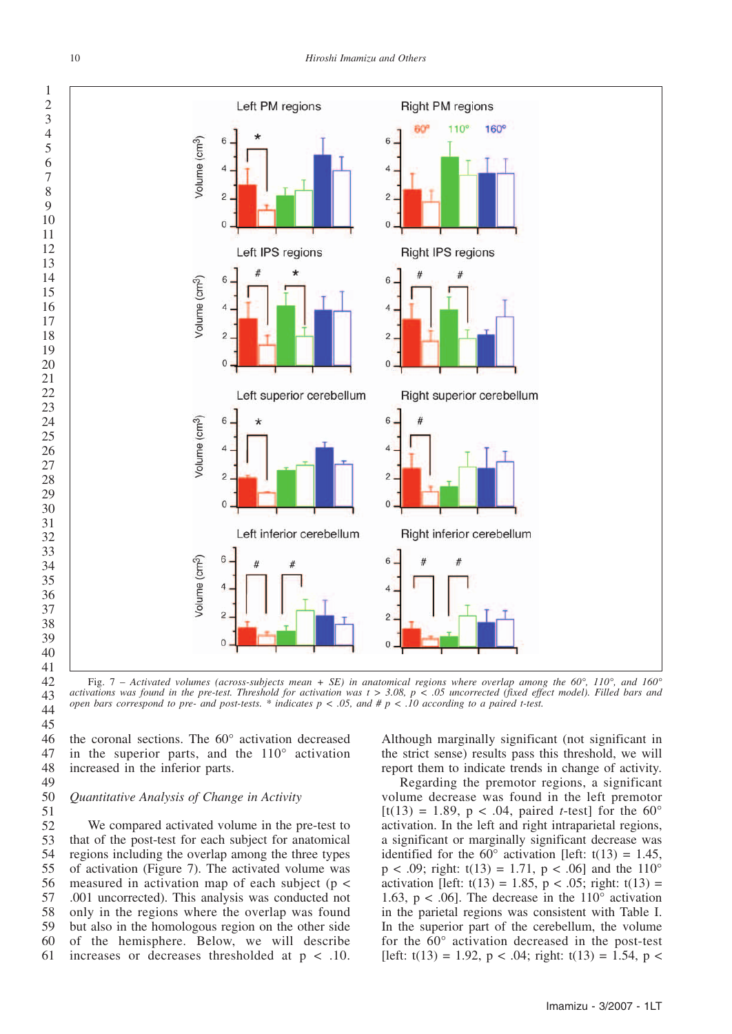

Fig. 7 – *Activated volumes (across-subjects mean + SE) in anatomical regions where overlap among the 60°, 110°, and 160° activations was found in the pre-test. Threshold for activation was t > 3.08, p < .05 uncorrected (fixed effect model). Filled bars and open bars correspond to pre- and post-tests. \* indicates p < .05, and # p < .10 according to a paired t-test.*

the coronal sections. The 60° activation decreased in the superior parts, and the 110° activation increased in the inferior parts. 

#### *Quantitative Analysis of Change in Activity*

We compared activated volume in the pre-test to that of the post-test for each subject for anatomical regions including the overlap among the three types of activation (Figure 7). The activated volume was measured in activation map of each subject (p < .001 uncorrected). This analysis was conducted not only in the regions where the overlap was found but also in the homologous region on the other side of the hemisphere. Below, we will describe increases or decreases thresholded at p < .10. 

Although marginally significant (not significant in the strict sense) results pass this threshold, we will report them to indicate trends in change of activity.

Regarding the premotor regions, a significant volume decrease was found in the left premotor [t(13) = 1.89,  $p < .04$ , paired *t*-test] for the 60° activation. In the left and right intraparietal regions, a significant or marginally significant decrease was identified for the  $60^{\circ}$  activation [left: t(13) = 1.45,  $p < .09$ ; right: t(13) = 1.71,  $p < .06$ ] and the 110° activation [left:  $t(13) = 1.85$ ,  $p < .05$ ; right:  $t(13) =$ 1.63,  $p < .06$ ]. The decrease in the 110 $^{\circ}$  activation in the parietal regions was consistent with Table I. In the superior part of the cerebellum, the volume for the 60° activation decreased in the post-test [left:  $t(13) = 1.92$ ,  $p < .04$ ; right:  $t(13) = 1.54$ ,  $p <$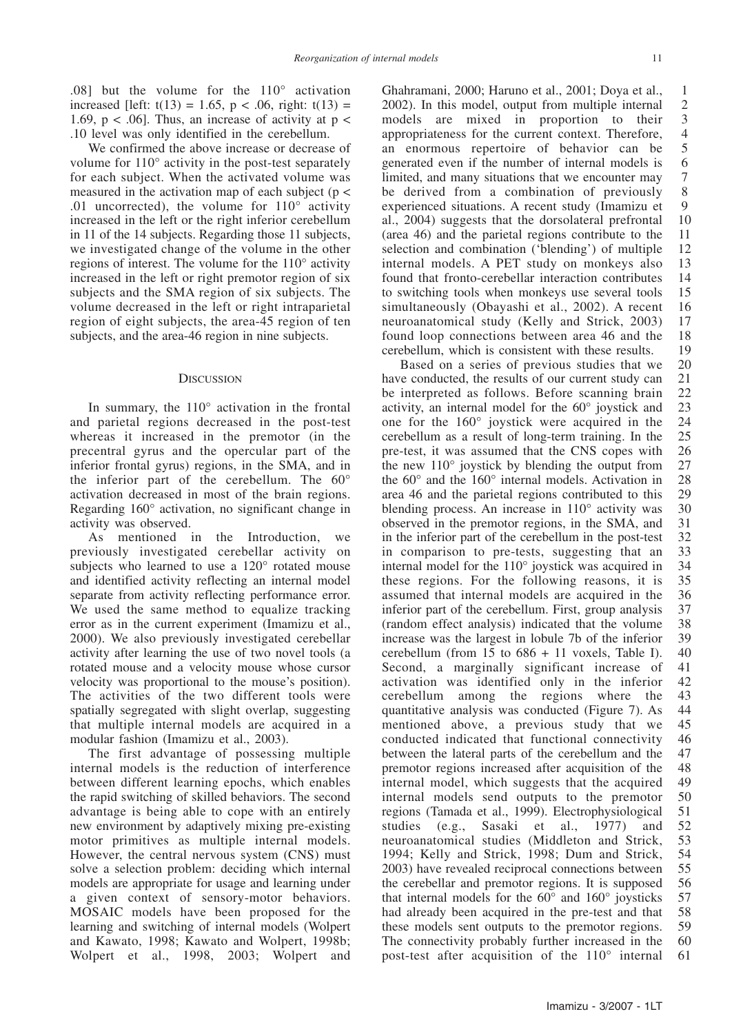.08] but the volume for the  $110^{\circ}$  activation increased [left:  $t(13) = 1.65$ ,  $p < .06$ , right:  $t(13) =$ 1.69,  $p < .06$ ]. Thus, an increase of activity at  $p <$ .10 level was only identified in the cerebellum.

We confirmed the above increase or decrease of volume for 110° activity in the post-test separately for each subject. When the activated volume was measured in the activation map of each subject ( $p <$ .01 uncorrected), the volume for 110° activity increased in the left or the right inferior cerebellum in 11 of the 14 subjects. Regarding those 11 subjects, we investigated change of the volume in the other regions of interest. The volume for the 110° activity increased in the left or right premotor region of six subjects and the SMA region of six subjects. The volume decreased in the left or right intraparietal region of eight subjects, the area-45 region of ten subjects, and the area-46 region in nine subjects.

#### **DISCUSSION**

In summary, the 110° activation in the frontal and parietal regions decreased in the post-test whereas it increased in the premotor (in the precentral gyrus and the opercular part of the inferior frontal gyrus) regions, in the SMA, and in the inferior part of the cerebellum. The 60° activation decreased in most of the brain regions. Regarding 160° activation, no significant change in activity was observed.

As mentioned in the Introduction, we previously investigated cerebellar activity on subjects who learned to use a 120° rotated mouse and identified activity reflecting an internal model separate from activity reflecting performance error. We used the same method to equalize tracking error as in the current experiment (Imamizu et al., 2000). We also previously investigated cerebellar activity after learning the use of two novel tools (a rotated mouse and a velocity mouse whose cursor velocity was proportional to the mouse's position). The activities of the two different tools were spatially segregated with slight overlap, suggesting that multiple internal models are acquired in a modular fashion (Imamizu et al., 2003).

The first advantage of possessing multiple internal models is the reduction of interference between different learning epochs, which enables the rapid switching of skilled behaviors. The second advantage is being able to cope with an entirely new environment by adaptively mixing pre-existing motor primitives as multiple internal models. However, the central nervous system (CNS) must solve a selection problem: deciding which internal models are appropriate for usage and learning under a given context of sensory-motor behaviors. MOSAIC models have been proposed for the learning and switching of internal models (Wolpert and Kawato, 1998; Kawato and Wolpert, 1998b; Wolpert et al., 1998, 2003; Wolpert and

Ghahramani, 2000; Haruno et al., 2001; Doya et al., 2002). In this model, output from multiple internal models are mixed in proportion to their appropriateness for the current context. Therefore, an enormous repertoire of behavior can be generated even if the number of internal models is limited, and many situations that we encounter may be derived from a combination of previously experienced situations. A recent study (Imamizu et al., 2004) suggests that the dorsolateral prefrontal (area 46) and the parietal regions contribute to the selection and combination ('blending') of multiple internal models. A PET study on monkeys also found that fronto-cerebellar interaction contributes to switching tools when monkeys use several tools simultaneously (Obayashi et al., 2002). A recent neuroanatomical study (Kelly and Strick, 2003) found loop connections between area 46 and the cerebellum, which is consistent with these results. 1 2 3 4 5 6 7 8 9 10 11 12 13 14 15 16 17 18 19

Based on a series of previous studies that we have conducted, the results of our current study can be interpreted as follows. Before scanning brain activity, an internal model for the 60° joystick and one for the 160° joystick were acquired in the cerebellum as a result of long-term training. In the pre-test, it was assumed that the CNS copes with the new 110° joystick by blending the output from the 60° and the 160° internal models. Activation in area 46 and the parietal regions contributed to this blending process. An increase in 110° activity was observed in the premotor regions, in the SMA, and in the inferior part of the cerebellum in the post-test in comparison to pre-tests, suggesting that an internal model for the 110° joystick was acquired in these regions. For the following reasons, it is assumed that internal models are acquired in the inferior part of the cerebellum. First, group analysis (random effect analysis) indicated that the volume increase was the largest in lobule 7b of the inferior cerebellum (from  $15$  to  $686 + 11$  voxels, Table I). Second, a marginally significant increase of activation was identified only in the inferior cerebellum among the regions where the quantitative analysis was conducted (Figure 7). As mentioned above, a previous study that we conducted indicated that functional connectivity between the lateral parts of the cerebellum and the premotor regions increased after acquisition of the internal model, which suggests that the acquired internal models send outputs to the premotor regions (Tamada et al., 1999). Electrophysiological studies (e.g., Sasaki et al., 1977) and neuroanatomical studies (Middleton and Strick, 1994; Kelly and Strick, 1998; Dum and Strick, 2003) have revealed reciprocal connections between the cerebellar and premotor regions. It is supposed that internal models for the 60° and 160° joysticks had already been acquired in the pre-test and that these models sent outputs to the premotor regions. The connectivity probably further increased in the post-test after acquisition of the 110° internal 20 21 22 23 24 25 26 27 28 29 30 31 32 33 34 35 36 37 38 39 40 41 42 43 44 45 46 47 48 49 50 51 52 53 54 55 56 57 58 59 60 61